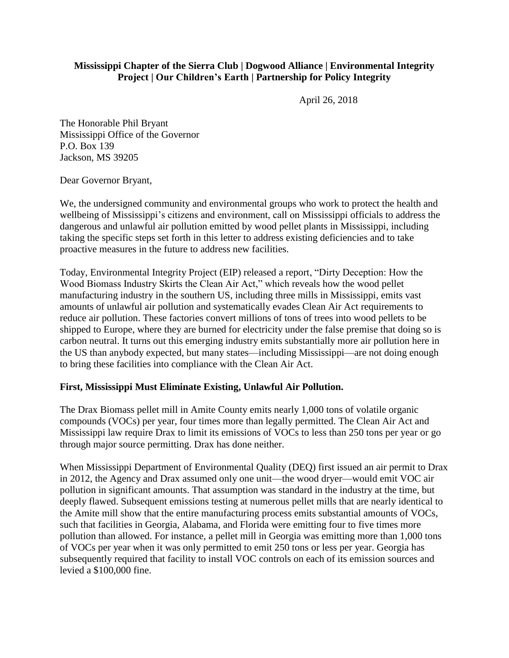## **Mississippi Chapter of the Sierra Club | Dogwood Alliance | Environmental Integrity Project | Our Children's Earth | Partnership for Policy Integrity**

April 26, 2018

The Honorable Phil Bryant Mississippi Office of the Governor P.O. Box 139 Jackson, MS 39205

Dear Governor Bryant,

We, the undersigned community and environmental groups who work to protect the health and wellbeing of Mississippi's citizens and environment, call on Mississippi officials to address the dangerous and unlawful air pollution emitted by wood pellet plants in Mississippi, including taking the specific steps set forth in this letter to address existing deficiencies and to take proactive measures in the future to address new facilities.

Today, Environmental Integrity Project (EIP) released a report, "Dirty Deception: How the Wood Biomass Industry Skirts the Clean Air Act," which reveals how the wood pellet manufacturing industry in the southern US, including three mills in Mississippi, emits vast amounts of unlawful air pollution and systematically evades Clean Air Act requirements to reduce air pollution. These factories convert millions of tons of trees into wood pellets to be shipped to Europe, where they are burned for electricity under the false premise that doing so is carbon neutral. It turns out this emerging industry emits substantially more air pollution here in the US than anybody expected, but many states—including Mississippi—are not doing enough to bring these facilities into compliance with the Clean Air Act.

## **First, Mississippi Must Eliminate Existing, Unlawful Air Pollution.**

The Drax Biomass pellet mill in Amite County emits nearly 1,000 tons of volatile organic compounds (VOCs) per year, four times more than legally permitted. The Clean Air Act and Mississippi law require Drax to limit its emissions of VOCs to less than 250 tons per year or go through major source permitting. Drax has done neither.

When Mississippi Department of Environmental Quality (DEQ) first issued an air permit to Drax in 2012, the Agency and Drax assumed only one unit—the wood dryer—would emit VOC air pollution in significant amounts. That assumption was standard in the industry at the time, but deeply flawed. Subsequent emissions testing at numerous pellet mills that are nearly identical to the Amite mill show that the entire manufacturing process emits substantial amounts of VOCs, such that facilities in Georgia, Alabama, and Florida were emitting four to five times more pollution than allowed. For instance, a pellet mill in Georgia was emitting more than 1,000 tons of VOCs per year when it was only permitted to emit 250 tons or less per year. Georgia has subsequently required that facility to install VOC controls on each of its emission sources and levied a \$100,000 fine.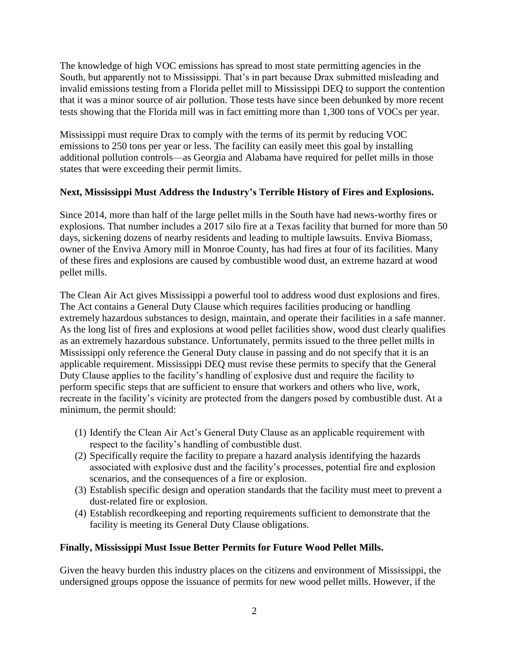The knowledge of high VOC emissions has spread to most state permitting agencies in the South, but apparently not to Mississippi. That's in part because Drax submitted misleading and invalid emissions testing from a Florida pellet mill to Mississippi DEQ to support the contention that it was a minor source of air pollution. Those tests have since been debunked by more recent tests showing that the Florida mill was in fact emitting more than 1,300 tons of VOCs per year.

Mississippi must require Drax to comply with the terms of its permit by reducing VOC emissions to 250 tons per year or less. The facility can easily meet this goal by installing additional pollution controls—as Georgia and Alabama have required for pellet mills in those states that were exceeding their permit limits.

## **Next, Mississippi Must Address the Industry's Terrible History of Fires and Explosions.**

Since 2014, more than half of the large pellet mills in the South have had news-worthy fires or explosions. That number includes a 2017 silo fire at a Texas facility that burned for more than 50 days, sickening dozens of nearby residents and leading to multiple lawsuits. Enviva Biomass, owner of the Enviva Amory mill in Monroe County, has had fires at four of its facilities. Many of these fires and explosions are caused by combustible wood dust, an extreme hazard at wood pellet mills.

The Clean Air Act gives Mississippi a powerful tool to address wood dust explosions and fires. The Act contains a General Duty Clause which requires facilities producing or handling extremely hazardous substances to design, maintain, and operate their facilities in a safe manner. As the long list of fires and explosions at wood pellet facilities show, wood dust clearly qualifies as an extremely hazardous substance. Unfortunately, permits issued to the three pellet mills in Mississippi only reference the General Duty clause in passing and do not specify that it is an applicable requirement. Mississippi DEQ must revise these permits to specify that the General Duty Clause applies to the facility's handling of explosive dust and require the facility to perform specific steps that are sufficient to ensure that workers and others who live, work, recreate in the facility's vicinity are protected from the dangers posed by combustible dust. At a minimum, the permit should:

- (1) Identify the Clean Air Act's General Duty Clause as an applicable requirement with respect to the facility's handling of combustible dust.
- (2) Specifically require the facility to prepare a hazard analysis identifying the hazards associated with explosive dust and the facility's processes, potential fire and explosion scenarios, and the consequences of a fire or explosion.
- (3) Establish specific design and operation standards that the facility must meet to prevent a dust-related fire or explosion.
- (4) Establish recordkeeping and reporting requirements sufficient to demonstrate that the facility is meeting its General Duty Clause obligations.

## **Finally, Mississippi Must Issue Better Permits for Future Wood Pellet Mills.**

Given the heavy burden this industry places on the citizens and environment of Mississippi, the undersigned groups oppose the issuance of permits for new wood pellet mills. However, if the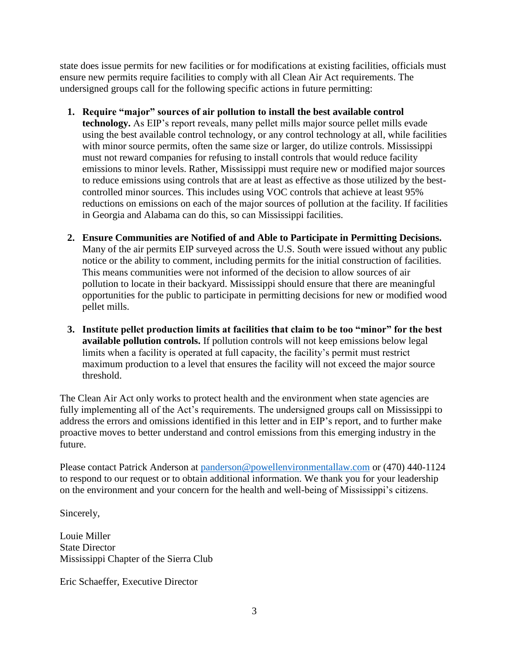state does issue permits for new facilities or for modifications at existing facilities, officials must ensure new permits require facilities to comply with all Clean Air Act requirements. The undersigned groups call for the following specific actions in future permitting:

- **1. Require "major" sources of air pollution to install the best available control technology.** As EIP's report reveals, many pellet mills major source pellet mills evade using the best available control technology, or any control technology at all, while facilities with minor source permits, often the same size or larger, do utilize controls. Mississippi must not reward companies for refusing to install controls that would reduce facility emissions to minor levels. Rather, Mississippi must require new or modified major sources to reduce emissions using controls that are at least as effective as those utilized by the bestcontrolled minor sources. This includes using VOC controls that achieve at least 95% reductions on emissions on each of the major sources of pollution at the facility. If facilities in Georgia and Alabama can do this, so can Mississippi facilities.
- **2. Ensure Communities are Notified of and Able to Participate in Permitting Decisions.**  Many of the air permits EIP surveyed across the U.S. South were issued without any public notice or the ability to comment, including permits for the initial construction of facilities. This means communities were not informed of the decision to allow sources of air pollution to locate in their backyard. Mississippi should ensure that there are meaningful opportunities for the public to participate in permitting decisions for new or modified wood pellet mills.
- **3. Institute pellet production limits at facilities that claim to be too "minor" for the best available pollution controls.** If pollution controls will not keep emissions below legal limits when a facility is operated at full capacity, the facility's permit must restrict maximum production to a level that ensures the facility will not exceed the major source threshold.

The Clean Air Act only works to protect health and the environment when state agencies are fully implementing all of the Act's requirements. The undersigned groups call on Mississippi to address the errors and omissions identified in this letter and in EIP's report, and to further make proactive moves to better understand and control emissions from this emerging industry in the future.

Please contact Patrick Anderson at [panderson@powellenvironmentallaw.com](mailto:panderson@powellenvironmentallaw.com) or (470) 440-1124 to respond to our request or to obtain additional information. We thank you for your leadership on the environment and your concern for the health and well-being of Mississippi's citizens.

Sincerely,

Louie Miller State Director Mississippi Chapter of the Sierra Club

Eric Schaeffer, Executive Director